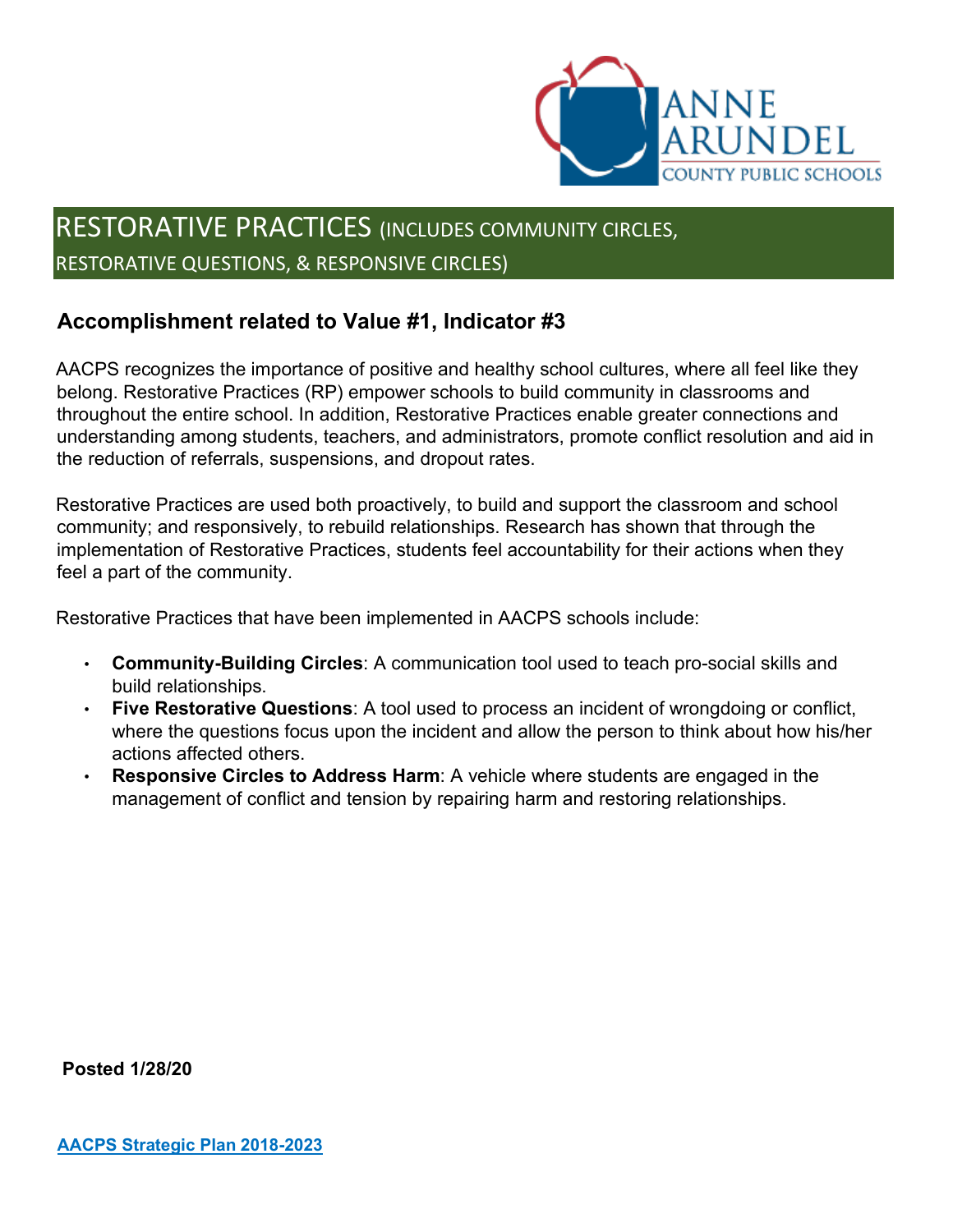

# RESTORATIVE PRACTICES (INCLUDES COMMUNITY CIRCLES, RESTORATIVE QUESTIONS, & RESPONSIVE CIRCLES)

### **Accomplishment related to Value #1, Indicator #3**

AACPS recognizes the importance of positive and healthy school cultures, where all feel like they belong. Restorative Practices (RP) empower schools to build community in classrooms and throughout the entire school. In addition, Restorative Practices enable greater connections and understanding among students, teachers, and administrators, promote conflict resolution and aid in the reduction of referrals, suspensions, and dropout rates.

Restorative Practices are used both proactively, to build and support the classroom and school community; and responsively, to rebuild relationships. Research has shown that through the implementation of Restorative Practices, students feel accountability for their actions when they feel a part of the community.

Restorative Practices that have been implemented in AACPS schools include:

- **Community-Building Circles**: A communication tool used to teach pro-social skills and build relationships.
- **Five Restorative Questions**: A tool used to process an incident of wrongdoing or conflict, where the questions focus upon the incident and allow the person to think about how his/her actions affected others.
- **Responsive Circles to Address Harm:** A vehicle where students are engaged in the management of conflict and tension by repairing harm and restoring relationships.

**Posted 1/28/20**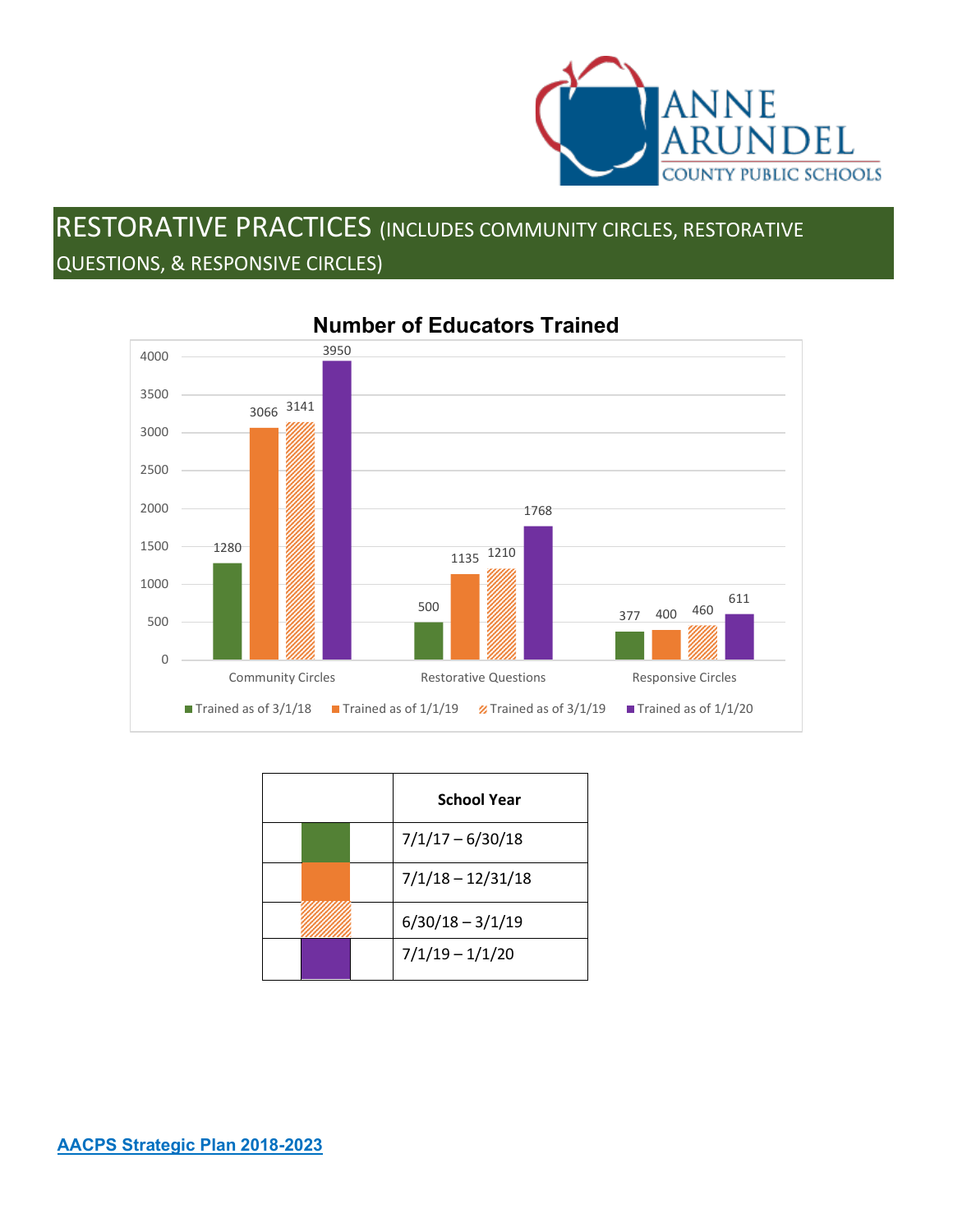

# RESTORATIVE PRACTICES (INCLUDES COMMUNITY CIRCLES, RESTORATIVE QUESTIONS, & RESPONSIVE CIRCLES)



#### **Number of Educators Trained**

|  | <b>School Year</b>  |
|--|---------------------|
|  | $7/1/17 - 6/30/18$  |
|  | $7/1/18 - 12/31/18$ |
|  | $6/30/18 - 3/1/19$  |
|  | $7/1/19 - 1/1/20$   |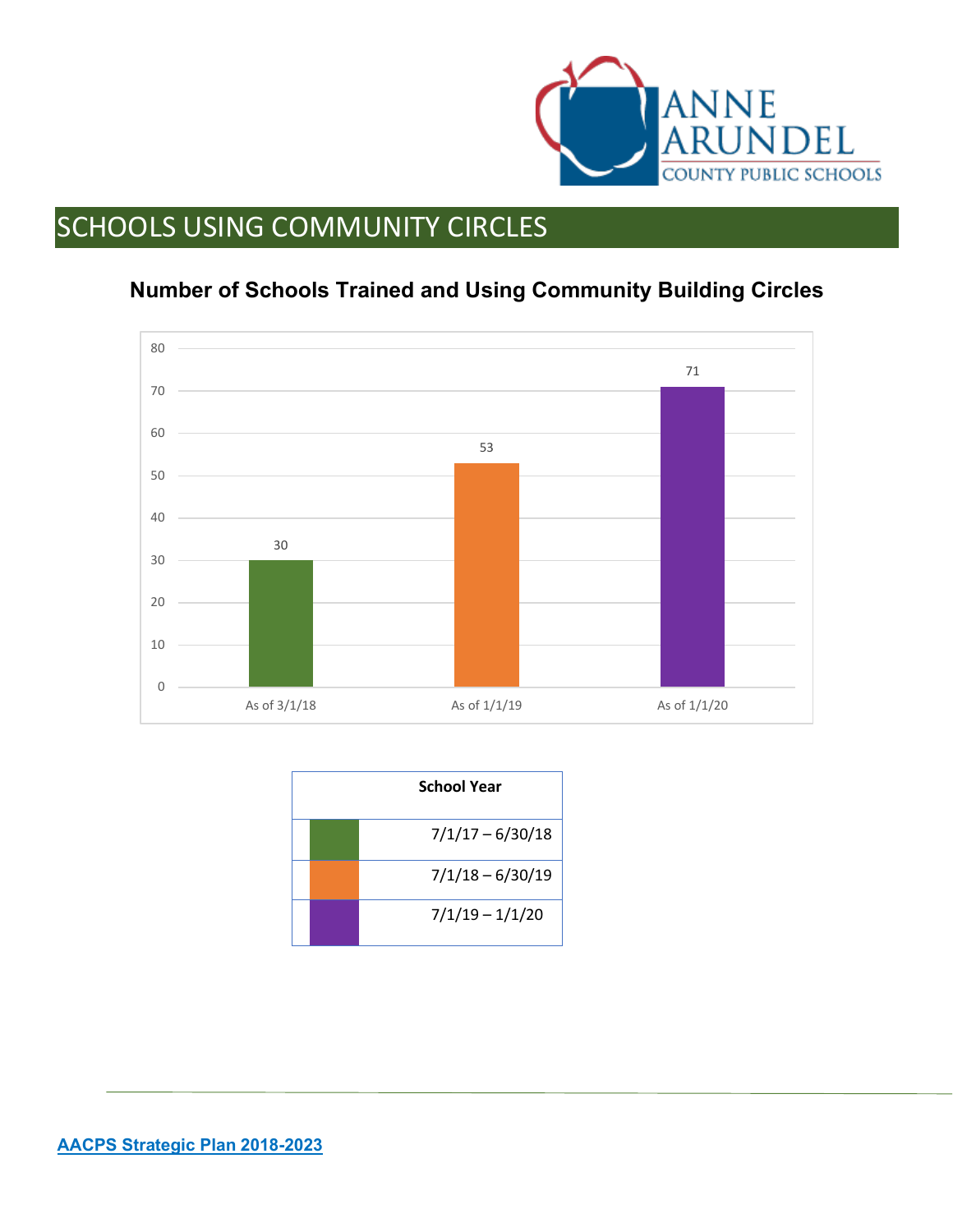

# SCHOOLS USING COMMUNITY CIRCLES

## **Number of Schools Trained and Using Community Building Circles**



|  | <b>School Year</b> |
|--|--------------------|
|  | $7/1/17 - 6/30/18$ |
|  | $7/1/18 - 6/30/19$ |
|  | $7/1/19 - 1/1/20$  |